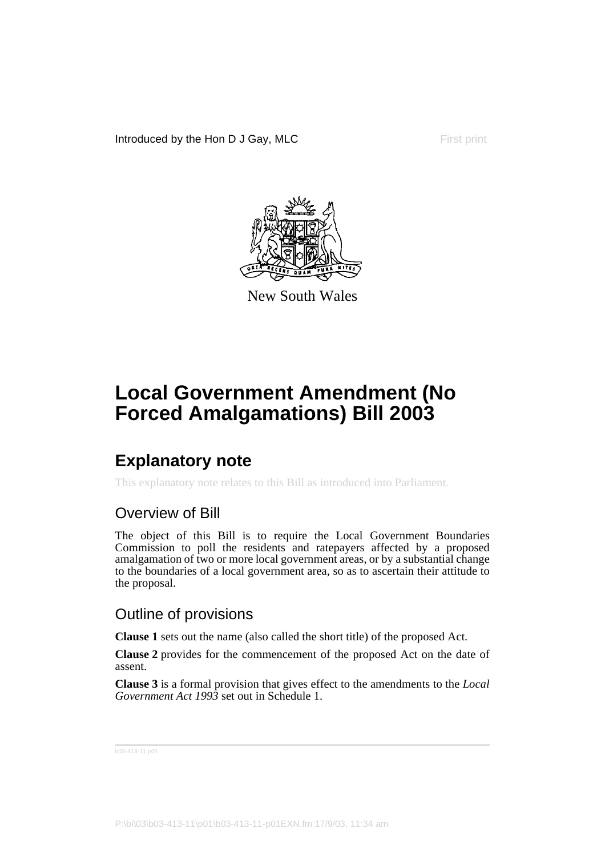Introduced by the Hon D J Gay, MLC **First print** 



New South Wales

## **Local Government Amendment (No Forced Amalgamations) Bill 2003**

## **Explanatory note**

This explanatory note relates to this Bill as introduced into Parliament.

### Overview of Bill

The object of this Bill is to require the Local Government Boundaries Commission to poll the residents and ratepayers affected by a proposed amalgamation of two or more local government areas, or by a substantial change to the boundaries of a local government area, so as to ascertain their attitude to the proposal.

### Outline of provisions

**Clause 1** sets out the name (also called the short title) of the proposed Act.

**Clause 2** provides for the commencement of the proposed Act on the date of assent.

**Clause 3** is a formal provision that gives effect to the amendments to the *Local Government Act 1993* set out in Schedule 1.

b03-413-11.p01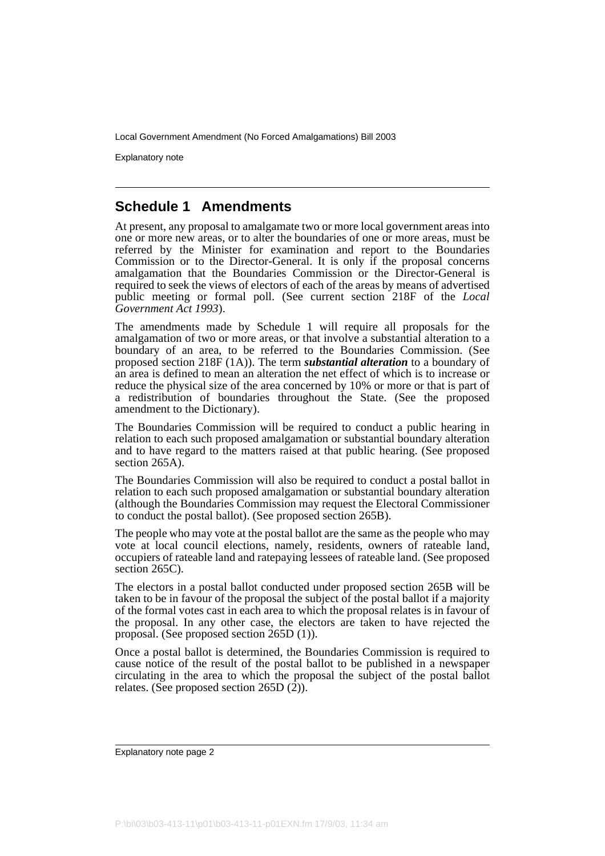Explanatory note

### **Schedule 1 Amendments**

At present, any proposal to amalgamate two or more local government areas into one or more new areas, or to alter the boundaries of one or more areas, must be referred by the Minister for examination and report to the Boundaries Commission or to the Director-General. It is only if the proposal concerns amalgamation that the Boundaries Commission or the Director-General is required to seek the views of electors of each of the areas by means of advertised public meeting or formal poll. (See current section 218F of the *Local Government Act 1993*).

The amendments made by Schedule 1 will require all proposals for the amalgamation of two or more areas, or that involve a substantial alteration to a boundary of an area, to be referred to the Boundaries Commission. (See proposed section 218F (1A)). The term *substantial alteration* to a boundary of an area is defined to mean an alteration the net effect of which is to increase or reduce the physical size of the area concerned by 10% or more or that is part of a redistribution of boundaries throughout the State. (See the proposed amendment to the Dictionary).

The Boundaries Commission will be required to conduct a public hearing in relation to each such proposed amalgamation or substantial boundary alteration and to have regard to the matters raised at that public hearing. (See proposed section 265A).

The Boundaries Commission will also be required to conduct a postal ballot in relation to each such proposed amalgamation or substantial boundary alteration (although the Boundaries Commission may request the Electoral Commissioner to conduct the postal ballot). (See proposed section 265B).

The people who may vote at the postal ballot are the same as the people who may vote at local council elections, namely, residents, owners of rateable land, occupiers of rateable land and ratepaying lessees of rateable land. (See proposed section 265C).

The electors in a postal ballot conducted under proposed section 265B will be taken to be in favour of the proposal the subject of the postal ballot if a majority of the formal votes cast in each area to which the proposal relates is in favour of the proposal. In any other case, the electors are taken to have rejected the proposal. (See proposed section 265D (1)).

Once a postal ballot is determined, the Boundaries Commission is required to cause notice of the result of the postal ballot to be published in a newspaper circulating in the area to which the proposal the subject of the postal ballot relates. (See proposed section 265D (2)).

Explanatory note page 2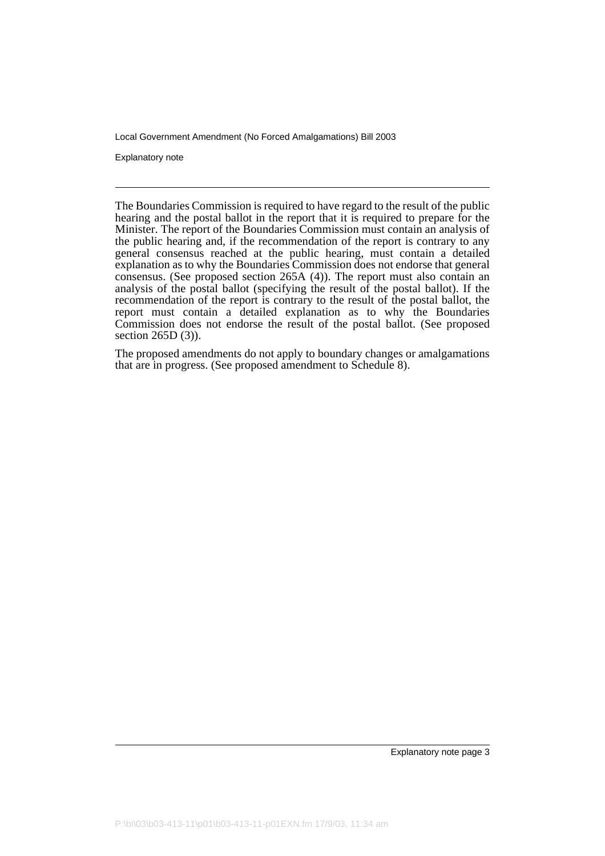Explanatory note

The Boundaries Commission is required to have regard to the result of the public hearing and the postal ballot in the report that it is required to prepare for the Minister. The report of the Boundaries Commission must contain an analysis of the public hearing and, if the recommendation of the report is contrary to any general consensus reached at the public hearing, must contain a detailed explanation as to why the Boundaries Commission does not endorse that general consensus. (See proposed section 265A (4)). The report must also contain an analysis of the postal ballot (specifying the result of the postal ballot). If the recommendation of the report is contrary to the result of the postal ballot, the report must contain a detailed explanation as to why the Boundaries Commission does not endorse the result of the postal ballot. (See proposed section 265D (3)).

The proposed amendments do not apply to boundary changes or amalgamations that are in progress. (See proposed amendment to Schedule 8).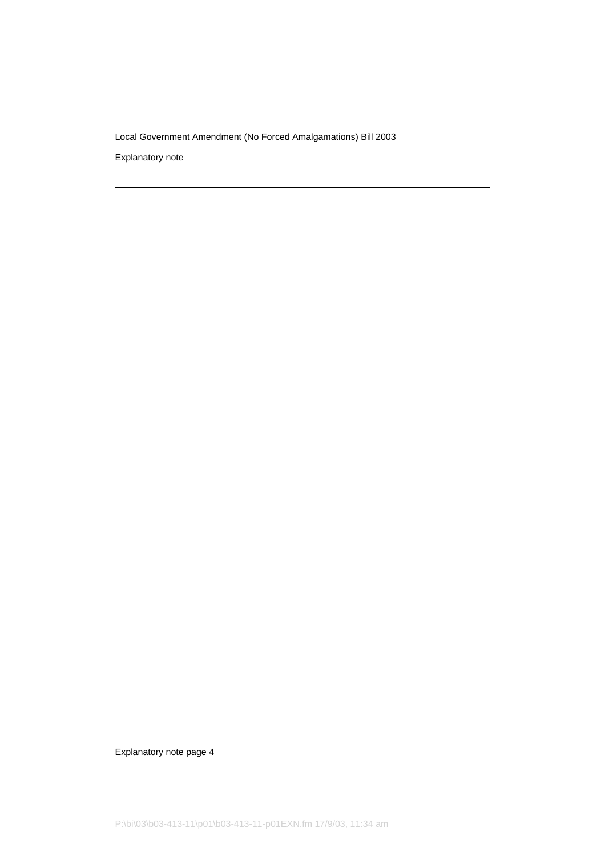Explanatory note

Explanatory note page 4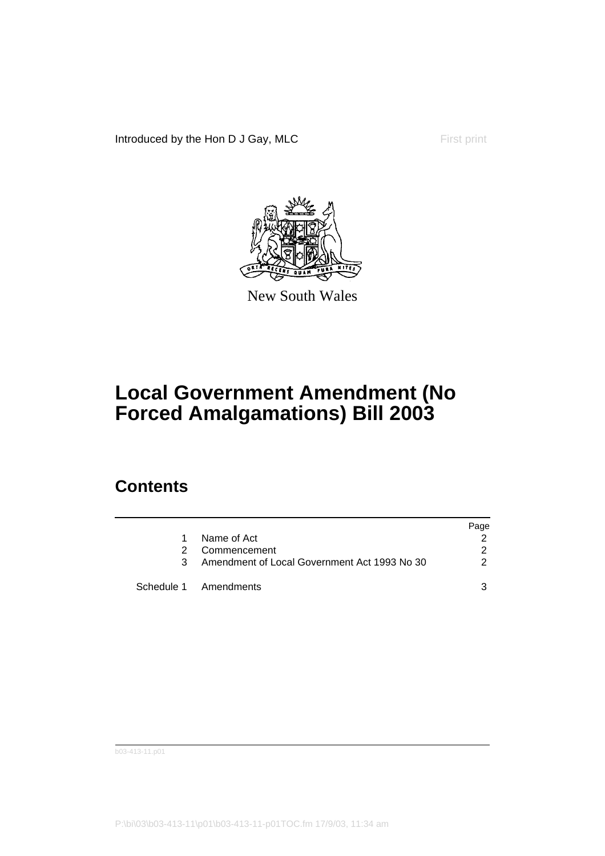Introduced by the Hon D J Gay, MLC First print



New South Wales

## **Local Government Amendment (No Forced Amalgamations) Bill 2003**

### **Contents**

|    |                                              | Page |
|----|----------------------------------------------|------|
| 1. | Name of Act                                  |      |
| 2  | Commencement                                 | 2    |
| 3  | Amendment of Local Government Act 1993 No 30 | 2    |
|    | Schedule 1 Amendments                        |      |

b03-413-11.p01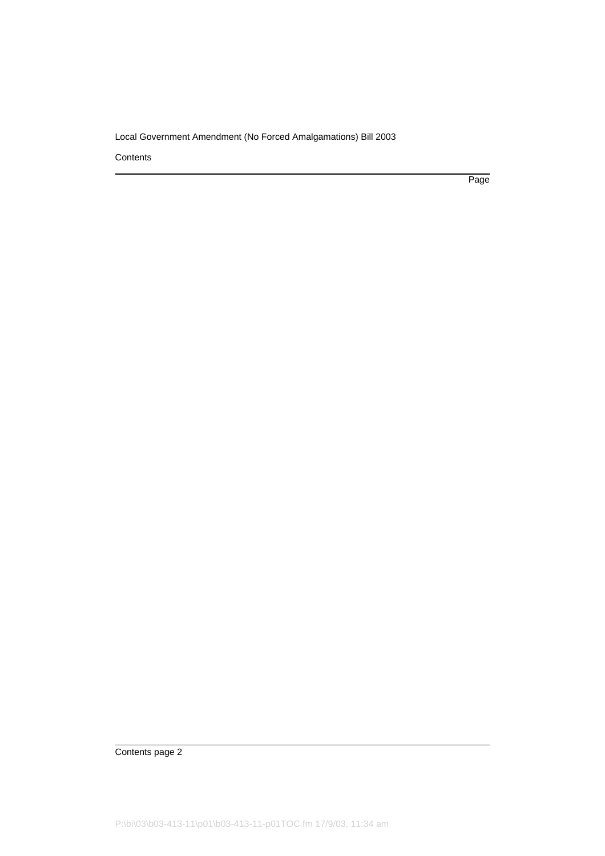**Contents** 

Page

Contents page 2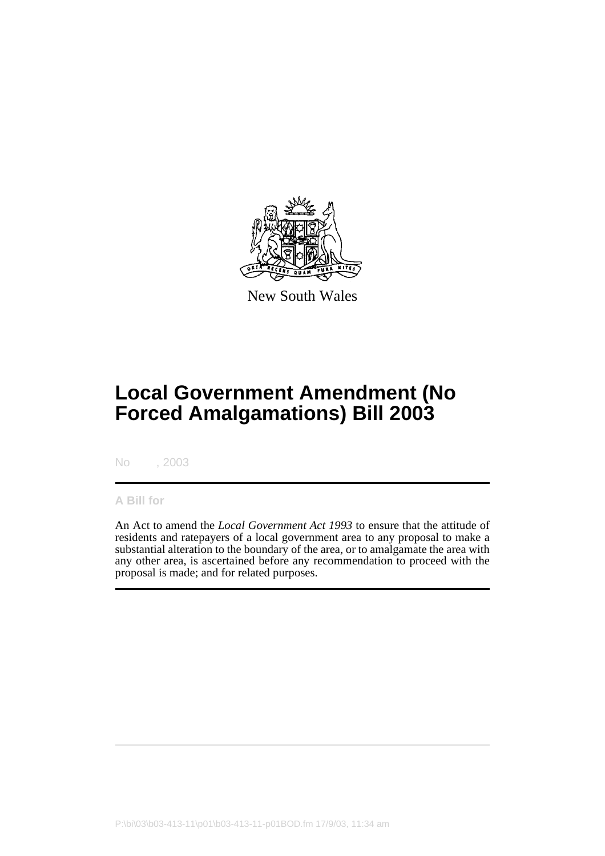

New South Wales

# **Local Government Amendment (No Forced Amalgamations) Bill 2003**

No , 2003

#### **A Bill for**

An Act to amend the *Local Government Act 1993* to ensure that the attitude of residents and ratepayers of a local government area to any proposal to make a substantial alteration to the boundary of the area, or to amalgamate the area with any other area, is ascertained before any recommendation to proceed with the proposal is made; and for related purposes.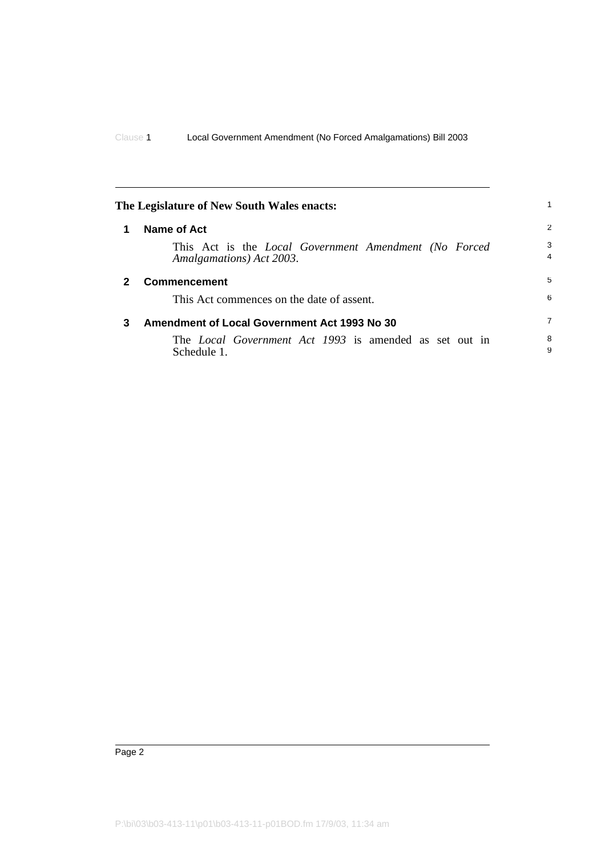<span id="page-7-2"></span><span id="page-7-1"></span><span id="page-7-0"></span>

| The Legislature of New South Wales enacts: |                                                                                          |        |
|--------------------------------------------|------------------------------------------------------------------------------------------|--------|
|                                            | Name of Act                                                                              | 2      |
|                                            | This Act is the <i>Local Government Amendment (No Forced</i><br>Amalgamations) Act 2003. | 3<br>4 |
| 2                                          | <b>Commencement</b>                                                                      | 5      |
|                                            | This Act commences on the date of assent.                                                | 6      |
| 3                                          | <b>Amendment of Local Government Act 1993 No 30</b>                                      | 7      |
|                                            | The Local Government Act 1993 is amended as set out in<br>Schedule 1.                    | 8<br>9 |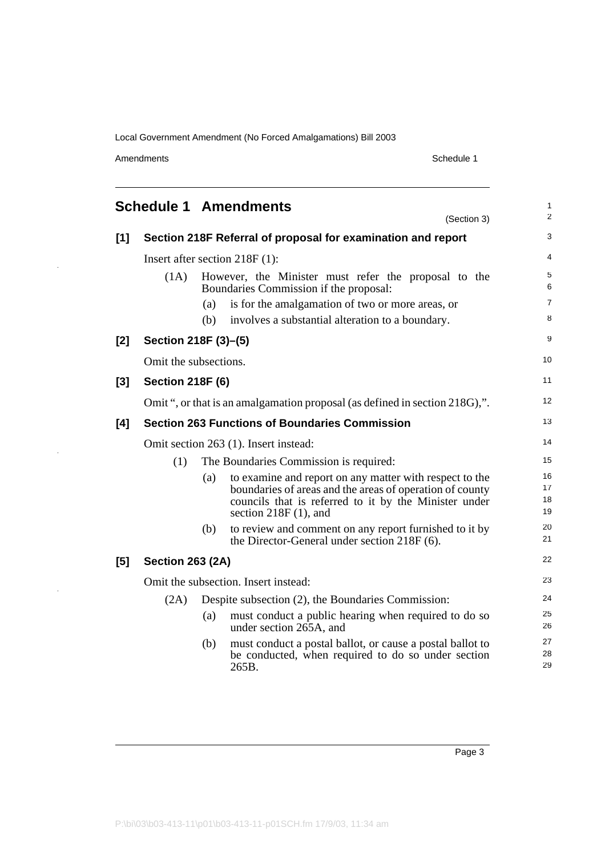Amendments Schedule 1

 $\bar{\bar{z}}$ 

 $\bar{z}$ 

 $\bar{z}$ 

<span id="page-8-0"></span>

| <b>Schedule 1 Amendments</b> |                                                                                                                                                 |                                  | (Section 3)                                                                                                                                                                                             | 1<br>$\overline{2}$  |  |  |
|------------------------------|-------------------------------------------------------------------------------------------------------------------------------------------------|----------------------------------|---------------------------------------------------------------------------------------------------------------------------------------------------------------------------------------------------------|----------------------|--|--|
| $[1]$                        | Section 218F Referral of proposal for examination and report                                                                                    |                                  |                                                                                                                                                                                                         |                      |  |  |
|                              |                                                                                                                                                 | Insert after section $218F(1)$ : |                                                                                                                                                                                                         |                      |  |  |
|                              | (1A)                                                                                                                                            |                                  | However, the Minister must refer the proposal to the<br>Boundaries Commission if the proposal:                                                                                                          | 5<br>6               |  |  |
|                              |                                                                                                                                                 | (a)                              | is for the amalgamation of two or more areas, or                                                                                                                                                        | $\overline{7}$       |  |  |
|                              |                                                                                                                                                 | (b)                              | involves a substantial alteration to a boundary.                                                                                                                                                        | 8                    |  |  |
| $[2]$                        | Section 218F (3)-(5)                                                                                                                            |                                  |                                                                                                                                                                                                         | 9                    |  |  |
|                              | Omit the subsections.                                                                                                                           |                                  |                                                                                                                                                                                                         | 10                   |  |  |
| $[3]$                        | <b>Section 218F (6)</b>                                                                                                                         |                                  |                                                                                                                                                                                                         | 11                   |  |  |
|                              | Omit ", or that is an amalgamation proposal (as defined in section 218G),".                                                                     |                                  |                                                                                                                                                                                                         |                      |  |  |
| [4]                          | <b>Section 263 Functions of Boundaries Commission</b><br>Omit section 263 (1). Insert instead:<br>(1)<br>The Boundaries Commission is required: |                                  |                                                                                                                                                                                                         | 13                   |  |  |
|                              |                                                                                                                                                 |                                  |                                                                                                                                                                                                         | 14                   |  |  |
|                              |                                                                                                                                                 |                                  |                                                                                                                                                                                                         | 15                   |  |  |
|                              |                                                                                                                                                 | (a)                              | to examine and report on any matter with respect to the<br>boundaries of areas and the areas of operation of county<br>councils that is referred to it by the Minister under<br>section $218F(1)$ , and | 16<br>17<br>18<br>19 |  |  |
|                              |                                                                                                                                                 | (b)                              | to review and comment on any report furnished to it by<br>the Director-General under section 218F (6).                                                                                                  | 20<br>21             |  |  |
| [5]                          | <b>Section 263 (2A)</b>                                                                                                                         |                                  |                                                                                                                                                                                                         | 22                   |  |  |
|                              |                                                                                                                                                 |                                  | Omit the subsection. Insert instead:                                                                                                                                                                    | 23                   |  |  |
|                              | (2A)                                                                                                                                            |                                  | Despite subsection (2), the Boundaries Commission:                                                                                                                                                      | 24                   |  |  |
|                              |                                                                                                                                                 | (a)                              | must conduct a public hearing when required to do so<br>under section 265A, and                                                                                                                         | 25<br>26             |  |  |
|                              |                                                                                                                                                 | (b)                              | must conduct a postal ballot, or cause a postal ballot to<br>be conducted, when required to do so under section<br>265B.                                                                                | 27<br>28<br>29       |  |  |

Page 3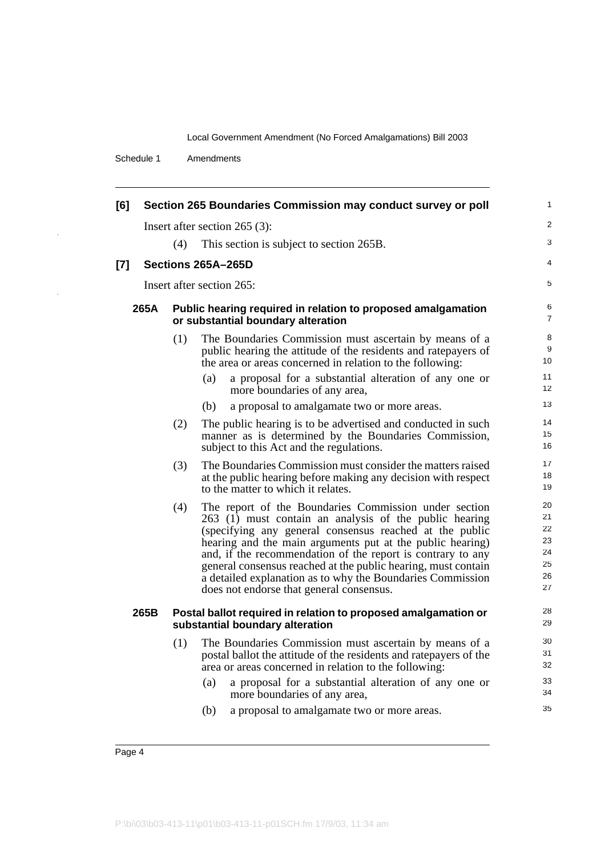Schedule 1 Amendments

l,

 $\bar{z}$ 

| [6]   | Section 265 Boundaries Commission may conduct survey or poll |     |                                                                                                                                                                                                                                                                                                                                                                                                                                                                                   |                                              |  |
|-------|--------------------------------------------------------------|-----|-----------------------------------------------------------------------------------------------------------------------------------------------------------------------------------------------------------------------------------------------------------------------------------------------------------------------------------------------------------------------------------------------------------------------------------------------------------------------------------|----------------------------------------------|--|
|       | Insert after section $265(3)$ :                              |     |                                                                                                                                                                                                                                                                                                                                                                                                                                                                                   |                                              |  |
|       | (4)<br>This section is subject to section 265B.              |     |                                                                                                                                                                                                                                                                                                                                                                                                                                                                                   |                                              |  |
| $[7]$ | Sections 265A-265D<br>Insert after section 265:              |     |                                                                                                                                                                                                                                                                                                                                                                                                                                                                                   |                                              |  |
|       |                                                              |     |                                                                                                                                                                                                                                                                                                                                                                                                                                                                                   |                                              |  |
|       | 265A                                                         |     | Public hearing required in relation to proposed amalgamation<br>or substantial boundary alteration                                                                                                                                                                                                                                                                                                                                                                                |                                              |  |
|       |                                                              | (1) | The Boundaries Commission must ascertain by means of a<br>public hearing the attitude of the residents and ratepayers of<br>the area or areas concerned in relation to the following:                                                                                                                                                                                                                                                                                             | 8<br>9<br>10                                 |  |
|       |                                                              |     | a proposal for a substantial alteration of any one or<br>(a)<br>more boundaries of any area,                                                                                                                                                                                                                                                                                                                                                                                      | 11<br>12                                     |  |
|       |                                                              |     | a proposal to amalgamate two or more areas.<br>(b)                                                                                                                                                                                                                                                                                                                                                                                                                                | 13                                           |  |
|       |                                                              | (2) | The public hearing is to be advertised and conducted in such<br>manner as is determined by the Boundaries Commission,<br>subject to this Act and the regulations.                                                                                                                                                                                                                                                                                                                 | 14<br>15<br>16                               |  |
|       |                                                              | (3) | The Boundaries Commission must consider the matters raised<br>at the public hearing before making any decision with respect<br>to the matter to which it relates.                                                                                                                                                                                                                                                                                                                 | 17<br>18<br>19                               |  |
|       |                                                              | (4) | The report of the Boundaries Commission under section<br>263 (1) must contain an analysis of the public hearing<br>(specifying any general consensus reached at the public<br>hearing and the main arguments put at the public hearing)<br>and, if the recommendation of the report is contrary to any<br>general consensus reached at the public hearing, must contain<br>a detailed explanation as to why the Boundaries Commission<br>does not endorse that general consensus. | 20<br>21<br>22<br>23<br>24<br>25<br>26<br>27 |  |
|       | 265B                                                         |     | Postal ballot required in relation to proposed amalgamation or<br>substantial boundary alteration                                                                                                                                                                                                                                                                                                                                                                                 | 28<br>29                                     |  |
|       |                                                              | (1) | The Boundaries Commission must ascertain by means of a<br>postal ballot the attitude of the residents and ratepayers of the<br>area or areas concerned in relation to the following:                                                                                                                                                                                                                                                                                              | 30<br>31<br>32                               |  |
|       |                                                              |     | a proposal for a substantial alteration of any one or<br>(a)<br>more boundaries of any area,                                                                                                                                                                                                                                                                                                                                                                                      | 33<br>34                                     |  |
|       |                                                              |     | a proposal to amalgamate two or more areas.<br>(b)                                                                                                                                                                                                                                                                                                                                                                                                                                | 35                                           |  |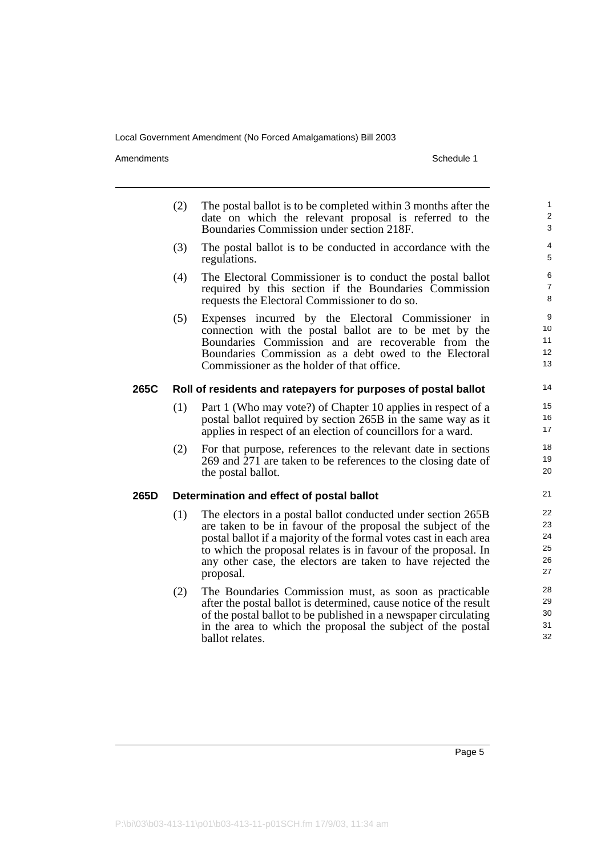Amendments Schedule 1

|      | (2)                                                            | The postal ballot is to be completed within 3 months after the<br>date on which the relevant proposal is referred to the<br>Boundaries Commission under section 218F.                                                                                                                                                                           | $\mathbf{1}$<br>$\overline{2}$<br>3    |  |  |
|------|----------------------------------------------------------------|-------------------------------------------------------------------------------------------------------------------------------------------------------------------------------------------------------------------------------------------------------------------------------------------------------------------------------------------------|----------------------------------------|--|--|
|      | (3)                                                            | The postal ballot is to be conducted in accordance with the<br>regulations.                                                                                                                                                                                                                                                                     | 4<br>5                                 |  |  |
|      | (4)                                                            | The Electoral Commissioner is to conduct the postal ballot<br>required by this section if the Boundaries Commission<br>requests the Electoral Commissioner to do so.                                                                                                                                                                            | 6<br>$\overline{7}$<br>8               |  |  |
|      | (5)                                                            | Expenses incurred by the Electoral Commissioner in<br>connection with the postal ballot are to be met by the<br>Boundaries Commission and are recoverable from the<br>Boundaries Commission as a debt owed to the Electoral<br>Commissioner as the holder of that office.                                                                       | 9<br>10 <sub>1</sub><br>11<br>12<br>13 |  |  |
| 265C | Roll of residents and ratepayers for purposes of postal ballot |                                                                                                                                                                                                                                                                                                                                                 |                                        |  |  |
|      | (1)                                                            | Part 1 (Who may vote?) of Chapter 10 applies in respect of a<br>postal ballot required by section 265B in the same way as it<br>applies in respect of an election of councillors for a ward.                                                                                                                                                    | 15<br>16<br>17                         |  |  |
|      | (2)                                                            | For that purpose, references to the relevant date in sections<br>269 and 271 are taken to be references to the closing date of<br>the postal ballot.                                                                                                                                                                                            | 18<br>19<br>20                         |  |  |
| 265D | Determination and effect of postal ballot                      |                                                                                                                                                                                                                                                                                                                                                 |                                        |  |  |
|      | (1)                                                            | The electors in a postal ballot conducted under section 265B<br>are taken to be in favour of the proposal the subject of the<br>postal ballot if a majority of the formal votes cast in each area<br>to which the proposal relates is in favour of the proposal. In<br>any other case, the electors are taken to have rejected the<br>proposal. | 22<br>23<br>24<br>25<br>26<br>27       |  |  |
|      | (2)                                                            | The Boundaries Commission must, as soon as practicable<br>after the postal ballot is determined, cause notice of the result<br>of the postal ballot to be published in a newspaper circulating<br>in the area to which the proposal the subject of the postal<br>ballot relates.                                                                | 28<br>29<br>30<br>31<br>32             |  |  |

Page 5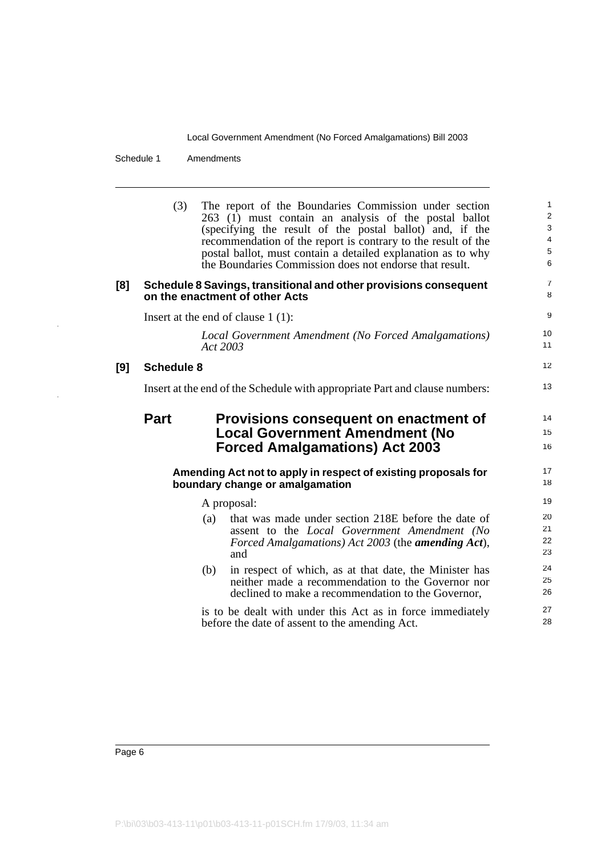Schedule 1 Amendments

|                                                                                                   | (3)               |          | The report of the Boundaries Commission under section<br>$263$ (1) must contain an analysis of the postal ballot<br>(specifying the result of the postal ballot) and, if the<br>recommendation of the report is contrary to the result of the<br>postal ballot, must contain a detailed explanation as to why<br>the Boundaries Commission does not endorse that result. | $\mathbf{1}$<br>$\overline{2}$<br>3<br>$\overline{\mathbf{4}}$<br>5<br>6 |
|---------------------------------------------------------------------------------------------------|-------------------|----------|--------------------------------------------------------------------------------------------------------------------------------------------------------------------------------------------------------------------------------------------------------------------------------------------------------------------------------------------------------------------------|--------------------------------------------------------------------------|
| [8]                                                                                               |                   |          | Schedule 8 Savings, transitional and other provisions consequent<br>on the enactment of other Acts                                                                                                                                                                                                                                                                       | $\overline{7}$<br>8                                                      |
|                                                                                                   |                   |          | Insert at the end of clause $1(1)$ :                                                                                                                                                                                                                                                                                                                                     | 9                                                                        |
|                                                                                                   |                   | Act 2003 | Local Government Amendment (No Forced Amalgamations)                                                                                                                                                                                                                                                                                                                     | 10<br>11                                                                 |
| [9]                                                                                               | <b>Schedule 8</b> |          |                                                                                                                                                                                                                                                                                                                                                                          | 12 <sup>°</sup>                                                          |
|                                                                                                   |                   |          | Insert at the end of the Schedule with appropriate Part and clause numbers:                                                                                                                                                                                                                                                                                              | 13                                                                       |
|                                                                                                   | <b>Part</b>       |          | Provisions consequent on enactment of<br><b>Local Government Amendment (No</b><br><b>Forced Amalgamations) Act 2003</b>                                                                                                                                                                                                                                                  | 14<br>15<br>16                                                           |
| Amending Act not to apply in respect of existing proposals for<br>boundary change or amalgamation |                   |          |                                                                                                                                                                                                                                                                                                                                                                          |                                                                          |
|                                                                                                   |                   |          |                                                                                                                                                                                                                                                                                                                                                                          |                                                                          |
|                                                                                                   |                   |          | A proposal:                                                                                                                                                                                                                                                                                                                                                              | 19                                                                       |
|                                                                                                   |                   | (a)      | that was made under section 218E before the date of<br>assent to the Local Government Amendment (No<br>Forced Amalgamations) Act 2003 (the <b>amending Act</b> ),<br>and                                                                                                                                                                                                 | 20<br>21<br>22<br>23                                                     |
|                                                                                                   |                   | (b)      | in respect of which, as at that date, the Minister has<br>neither made a recommendation to the Governor nor<br>declined to make a recommendation to the Governor,                                                                                                                                                                                                        | 24<br>25<br>26                                                           |
|                                                                                                   |                   |          | is to be dealt with under this Act as in force immediately<br>before the date of assent to the amending Act.                                                                                                                                                                                                                                                             | 27<br>28                                                                 |